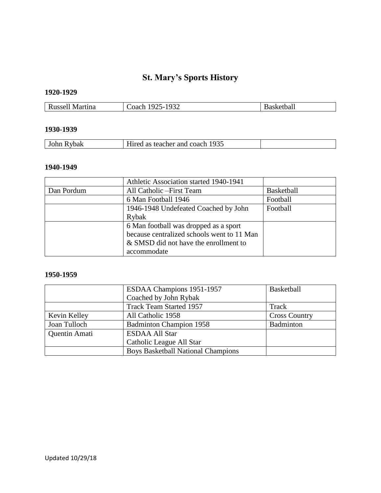# **St. Mary's Sports History**

## **1920-1929**

| Russell<br>Martina | 1932<br>n c<br>:oach<br>$\mathbf{v}$ | etoal<br>、n |
|--------------------|--------------------------------------|-------------|

## **1930-1939**

| Rybak | l as teacher and coach 1935 |  |
|-------|-----------------------------|--|
|       |                             |  |

#### **1940-1949**

|            | Athletic Association started 1940-1941     |                   |
|------------|--------------------------------------------|-------------------|
| Dan Pordum | All Catholic – First Team                  | <b>Basketball</b> |
|            | 6 Man Football 1946                        | Football          |
|            | 1946-1948 Undefeated Coached by John       | Football          |
|            | Rybak                                      |                   |
|            | 6 Man football was dropped as a sport      |                   |
|            | because centralized schools went to 11 Man |                   |
|            | & SMSD did not have the enrollment to      |                   |
|            | accommodate                                |                   |

#### **1950-1959**

|               | ESDAA Champions 1951-1957                 | Basketball           |
|---------------|-------------------------------------------|----------------------|
|               | Coached by John Rybak                     |                      |
|               | <b>Track Team Started 1957</b>            | Track                |
| Kevin Kelley  | All Catholic 1958                         | <b>Cross Country</b> |
| Joan Tulloch  | <b>Badminton Champion 1958</b>            | Badminton            |
| Quentin Amati | <b>ESDAA All Star</b>                     |                      |
|               | Catholic League All Star                  |                      |
|               | <b>Boys Basketball National Champions</b> |                      |